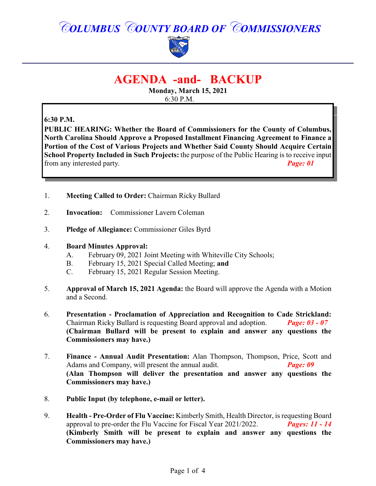# *COLUMBUS COUNTY BOARD OF COMMISSIONERS*



# **AGENDA -and- BACKUP**

**Monday, March 15, 2021** 6:30 P.M.

# **6:30 P.M.**

**PUBLIC HEARING: Whether the Board of Commissioners for the County of Columbus, North Carolina Should Approve a Proposed Installment Financing Agreement to Finance a Portion of the Cost of Various Projects and Whether Said County Should Acquire Certain School Property Included in Such Projects:** the purpose of the Public Hearing is to receive input from any interested party. *Page: 01*

- 1. **Meeting Called to Order:** Chairman Ricky Bullard
- 2. **Invocation:** Commissioner Lavern Coleman
- 3. **Pledge of Allegiance:** Commissioner Giles Byrd

#### 4. **Board Minutes Approval:**

- A. February 09, 2021 Joint Meeting with Whiteville City Schools;
- B. February 15, 2021 Special Called Meeting; **and**
- C. February 15, 2021 Regular Session Meeting.
- 5. **Approval of March 15, 2021 Agenda:** the Board will approve the Agenda with a Motion and a Second.
- 6. **Presentation Proclamation of Appreciation and Recognition to Cade Strickland:** Chairman Ricky Bullard is requesting Board approval and adoption. *Page: 03 - 07* **(Chairman Bullard will be present to explain and answer any questions the Commissioners may have.)**
- 7. **Finance Annual Audit Presentation:** Alan Thompson, Thompson, Price, Scott and Adams and Company, will present the annual audit. *Page: 09* **(Alan Thompson will deliver the presentation and answer any questions the Commissioners may have.)**
- 8. **Public Input (by telephone, e-mail or letter).**
- 9. **Health Pre-Order of Flu Vaccine:** Kimberly Smith, Health Director, is requesting Board approval to pre-order the Flu Vaccine for Fiscal Year 2021/2022. *Pages: 11 - 14*  **(Kimberly Smith will be present to explain and answer any questions the Commissioners may have.)**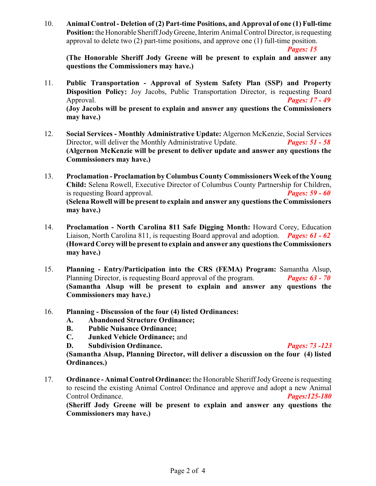10. **Animal Control - Deletion of (2) Part-time Positions, and Approval of one (1) Full-time Position:** the Honorable Sheriff Jody Greene, Interim Animal Control Director, is requesting approval to delete two (2) part-time positions, and approve one (1) full-time position. *Pages: 15*

**(The Honorable Sheriff Jody Greene will be present to explain and answer any questions the Commissioners may have.)**

- 11. **Public Transportation - Approval of System Safety Plan (SSP) and Property Disposition Policy:** Joy Jacobs, Public Transportation Director, is requesting Board Approval. *Pages: 17 - 49* **(Joy Jacobs will be present to explain and answer any questions the Commissioners may have.)**
- 12. **Social Services Monthly Administrative Update:** Algernon McKenzie, Social Services Director, will deliver the Monthly Administrative Update. *Pages: 51 - 58* **(Algernon McKenzie will be present to deliver update and answer any questions the Commissioners may have.)**
- 13. **Proclamation Proclamation by Columbus County Commissioners Week ofthe Young Child:** Selena Rowell, Executive Director of Columbus County Partnership for Children, is requesting Board approval. *Pages: 59 - 60* **(Selena Rowell will be present to explain and answer any questions the Commissioners may have.)**
- 14. **Proclamation North Carolina 811 Safe Digging Month:** Howard Corey, Education Liaison, North Carolina 811, is requesting Board approval and adoption. *Pages: 61 - 62* **(Howard Corey will be present to explain and answer any questions the Commissioners may have.)**
- 15. **Planning Entry/Participation into the CRS (FEMA) Program:** Samantha Alsup, Planning Director, is requesting Board approval of the program. *Pages: 63 - 70* **(Samantha Alsup will be present to explain and answer any questions the Commissioners may have.)**
- 16. **Planning Discussion of the four (4) listed Ordinances:**
	- **A. Abandoned Structure Ordinance;**
	- **B. Public Nuisance Ordinance;**
	- **C. Junked Vehicle Ordinance;** and
	- **D. Subdivision Ordinance.** *Pages: 73 -123*

**(Samantha Alsup, Planning Director, will deliver a discussion on the four (4) listed Ordinances.)**

17. **Ordinance - Animal Control Ordinance:** the Honorable Sheriff Jody Greene is requesting to rescind the existing Animal Control Ordinance and approve and adopt a new Animal Control Ordinance. *Pages:125-180*

**(Sheriff Jody Greene will be present to explain and answer any questions the Commissioners may have.)**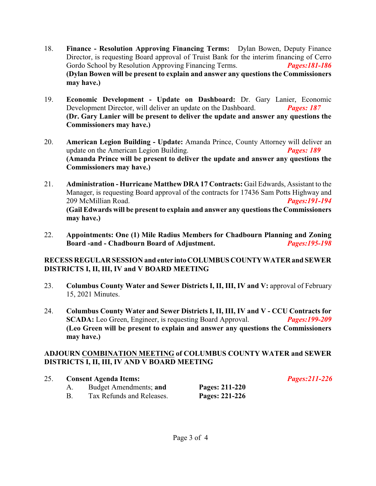- 18. **Finance - Resolution Approving Financing Terms:** Dylan Bowen, Deputy Finance Director, is requesting Board approval of Truist Bank for the interim financing of Cerro Gordo School by Resolution Approving Financing Terms. Pages:181-186 Gordo School by Resolution Approving Financing Terms. **(Dylan Bowen will be present to explain and answer any questions the Commissioners may have.)**
- 19. **Economic Development Update on Dashboard:** Dr. Gary Lanier, Economic Development Director, will deliver an update on the Dashboard. *Pages: 187* **(Dr. Gary Lanier will be present to deliver the update and answer any questions the Commissioners may have.)**
- 20. **American Legion Building Update:** Amanda Prince, County Attorney will deliver an update on the American Legion Building. *Pages: 189* **(Amanda Prince will be present to deliver the update and answer any questions the Commissioners may have.)**
- 21. **Administration Hurricane Matthew DRA 17 Contracts:** Gail Edwards, Assistant to the Manager, is requesting Board approval of the contracts for 17436 Sam Potts Highway and 209 McMillian Road. *Pages:191-194* **(Gail Edwards will be present to explain and answer any questions the Commissioners may have.)**
- 22. **Appointments: One (1) Mile Radius Members for Chadbourn Planning and Zoning Board -and - Chadbourn Board of Adjustment.** *Pages:195-198*

# **RECESS REGULAR SESSION and enter intoCOLUMBUSCOUNTYWATER and SEWER DISTRICTS I, II, III, IV and V BOARD MEETING**

- 23. **Columbus County Water and Sewer Districts I, II, III, IV and V:** approval of February 15, 2021 Minutes.
- 24. **Columbus County Water and Sewer Districts I, II, III, IV and V CCU Contracts for SCADA:** Leo Green, Engineer, is requesting Board Approval. *Pages:199-209* **(Leo Green will be present to explain and answer any questions the Commissioners may have.)**

# **ADJOURN COMBINATION MEETING of COLUMBUS COUNTY WATER and SEWER DISTRICTS I, II, III, IV AND V BOARD MEETING**

25. **Consent Agenda Items:** *Pages:211-226*

| 25. | <b>Consent Agenda Items:</b> |                |  |
|-----|------------------------------|----------------|--|
|     | Budget Amendments; and       | Pages: 211-220 |  |
|     | Tax Refunds and Releases.    | Pages: 221-226 |  |